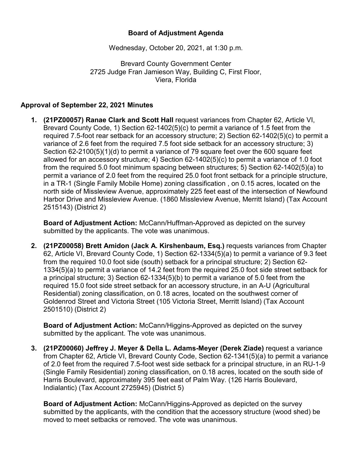## **Board of Adjustment Agenda**

Wednesday, October 20, 2021, at 1:30 p.m.

Brevard County Government Center 2725 Judge Fran Jamieson Way, Building C, First Floor, Viera, Florida

## **Approval of September 22, 2021 Minutes**

**1. (21PZ00057) Ranae Clark and Scott Hall** request variances from Chapter 62, Article VI, Brevard County Code, 1) Section 62-1402(5)(c) to permit a variance of 1.5 feet from the required 7.5-foot rear setback for an accessory structure; 2) Section 62-1402(5)(c) to permit a variance of 2.6 feet from the required 7.5 foot side setback for an accessory structure; 3) Section 62-2100(5)(1)(d) to permit a variance of 79 square feet over the 600 square feet allowed for an accessory structure; 4) Section 62-1402(5)(c) to permit a variance of 1.0 foot from the required 5.0 foot minimum spacing between structures; 5) Section 62-1402(5)(a) to permit a variance of 2.0 feet from the required 25.0 foot front setback for a principle structure, in a TR-1 (Single Family Mobile Home) zoning classification , on 0.15 acres, located on the north side of Missleview Avenue, approximately 225 feet east of the intersection of Newfound Harbor Drive and Missleview Avenue. (1860 Missleview Avenue, Merritt Island) (Tax Account 2515143) (District 2)

**Board of Adjustment Action:** McCann/Huffman-Approved as depicted on the survey submitted by the applicants. The vote was unanimous.

**2. (21PZ00058) Brett Amidon (Jack A. Kirshenbaum, Esq.)** requests variances from Chapter 62, Article VI, Brevard County Code, 1) Section 62-1334(5)(a) to permit a variance of 9.3 feet from the required 10.0 foot side (south) setback for a principal structure; 2) Section 62- 1334(5)(a) to permit a variance of 14.2 feet from the required 25.0 foot side street setback for a principal structure; 3) Section 62-1334(5)(b) to permit a variance of 5.0 feet from the required 15.0 foot side street setback for an accessory structure, in an A-U (Agricultural Residential) zoning classification, on 0.18 acres, located on the southwest corner of Goldenrod Street and Victoria Street (105 Victoria Street, Merritt Island) (Tax Account 2501510) (District 2)

**Board of Adjustment Action:** McCann/Higgins-Approved as depicted on the survey submitted by the applicant. The vote was unanimous.

**3. (21PZ00060) Jeffrey J. Meyer & Della L. Adams-Meyer (Derek Ziade)** request a variance from Chapter 62, Article VI, Brevard County Code, Section 62-1341(5)(a) to permit a variance of 2.0 feet from the required 7.5-foot west side setback for a principal structure, in an RU-1-9 (Single Family Residential) zoning classification, on 0.18 acres, located on the south side of Harris Boulevard, approximately 395 feet east of Palm Way. (126 Harris Boulevard, Indialantic) (Tax Account 2725945) (District 5)

**Board of Adjustment Action:** McCann/Higgins-Approved as depicted on the survey submitted by the applicants, with the condition that the accessory structure (wood shed) be moved to meet setbacks or removed. The vote was unanimous.